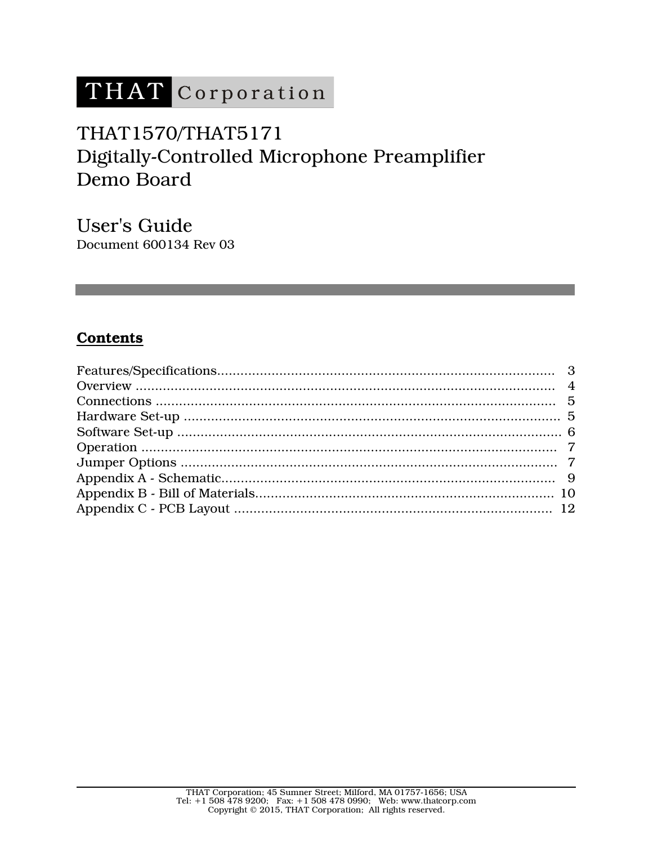# THAT Corporation

## THAT1570/THAT5171 Digitally-Controlled Microphone Preamplifier Demo Board

User's Guide Document 600134 Rev 03

## **Contents**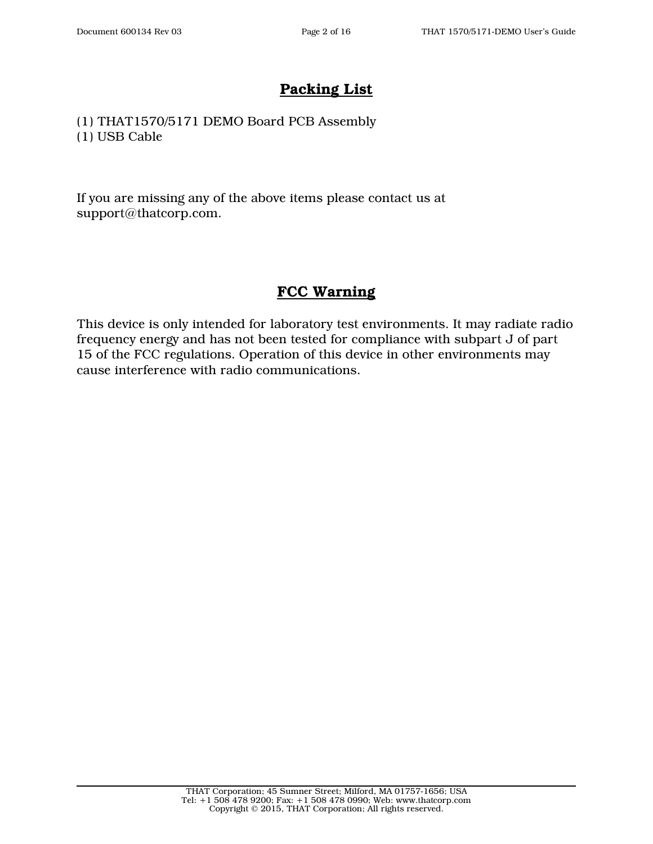## **Packing List**

(1) THAT1570/5171 DEMO Board PCB Assembly (1) USB Cable

If you are missing any of the above items please contact us at support@thatcorp.com.

## **FCC Warning**

This device is only intended for laboratory test environments. It may radiate radio frequency energy and has not been tested for compliance with subpart J of part 15 of the FCC regulations. Operation of this device in other environments may cause interference with radio communications.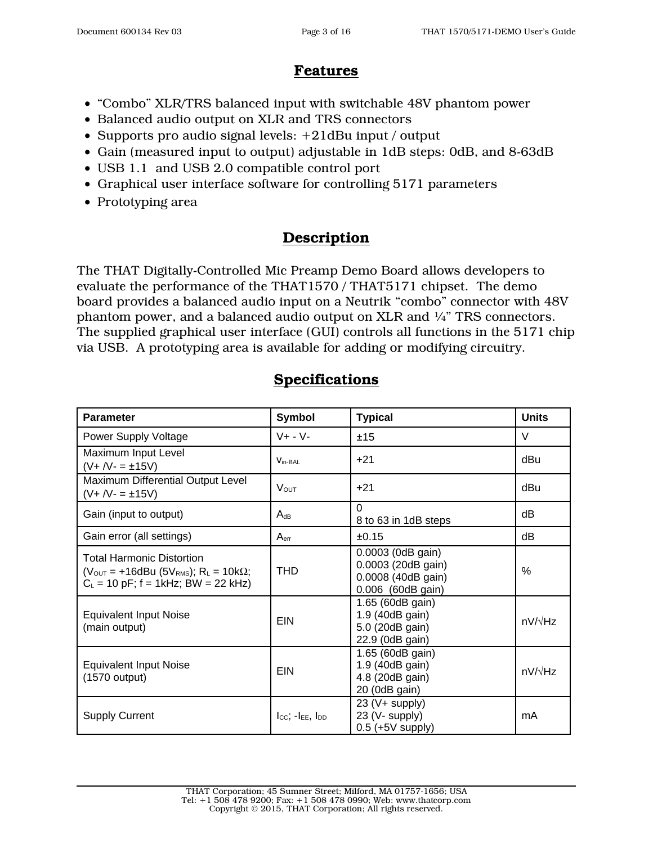## **Features**

- "Combo" XLR/TRS balanced input with switchable 48V phantom power
- Balanced audio output on XLR and TRS connectors
- Supports pro audio signal levels: +21dBu input / output
- Gain (measured input to output) adjustable in 1dB steps: 0dB, and 8-63dB
- USB 1.1 and USB 2.0 compatible control port
- Graphical user interface software for controlling 5171 parameters
- Prototyping area

## **Description**

The THAT Digitally-Controlled Mic Preamp Demo Board allows developers to evaluate the performance of the THAT1570 / THAT5171 chipset. The demo board provides a balanced audio input on a Neutrik "combo" connector with 48V phantom power, and a balanced audio output on XLR and  $\frac{1}{4}$ " TRS connectors. The supplied graphical user interface (GUI) controls all functions in the 5171 chip via USB. A prototyping area is available for adding or modifying circuitry.

| <b>Parameter</b>                                                                                                                                                | <b>Symbol</b>                   | <b>Typical</b>                                                                     | <b>Units</b>   |
|-----------------------------------------------------------------------------------------------------------------------------------------------------------------|---------------------------------|------------------------------------------------------------------------------------|----------------|
| Power Supply Voltage                                                                                                                                            | $V + - V -$                     | ±15                                                                                | V              |
| Maximum Input Level<br>$(V + IV - = \pm 15V)$                                                                                                                   | $V_{in-BAL}$                    | $+21$                                                                              | dBu            |
| Maximum Differential Output Level<br>$(V + IV - = \pm 15V)$                                                                                                     | $V_{OUT}$                       | $+21$                                                                              | dBu            |
| Gain (input to output)                                                                                                                                          | $A_{dB}$                        | $\Omega$<br>8 to 63 in 1dB steps                                                   | dB             |
| Gain error (all settings)                                                                                                                                       | A <sub>err</sub>                | ±0.15                                                                              | dB             |
| <b>Total Harmonic Distortion</b><br>$(V_{\text{OUT}} = +16$ dBu (5 $V_{\text{RMS}}$ ); R <sub>L</sub> = 10k $\Omega$ ;<br>$C_L$ = 10 pF; f = 1kHz; BW = 22 kHz) | <b>THD</b>                      | 0.0003 (0dB gain)<br>0.0003 (20dB gain)<br>0.0008 (40dB gain)<br>0.006 (60dB gain) | %              |
| <b>Equivalent Input Noise</b><br>(main output)                                                                                                                  | EIN                             | 1.65 (60dB gain)<br>1.9 (40dB gain)<br>5.0 (20dB gain)<br>22.9 (0dB gain)          | $nV/\sqrt{Hz}$ |
| <b>Equivalent Input Noise</b><br>$(1570$ output)                                                                                                                | EIN                             | 1.65 (60dB gain)<br>1.9 (40dB gain)<br>4.8 (20dB gain)<br>20 (0dB gain)            | $nV/\sqrt{Hz}$ |
| <b>Supply Current</b>                                                                                                                                           | $I_{CC}$ ; $-I_{EE}$ , $I_{DD}$ | 23 (V+ supply)<br>23 (V- supply)<br>$0.5$ (+5V supply)                             | mA             |

### **Specifications**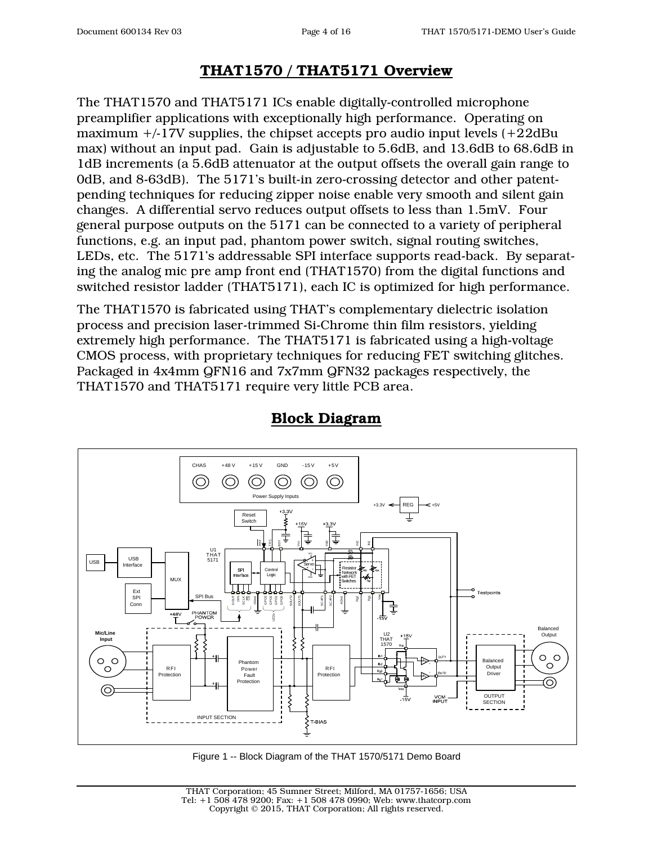## **THAT1570 / THAT5171 Overview**

The THAT1570 and THAT5171 ICs enable digitally-controlled microphone preamplifier applications with exceptionally high performance. Operating on maximum  $+/-17V$  supplies, the chipset accepts pro audio input levels  $(+22dBu$ max) without an input pad. Gain is adjustable to 5.6dB, and 13.6dB to 68.6dB in 1dB increments (a 5.6dB attenuator at the output offsets the overall gain range to 0dB, and 8-63dB). The 5171's built-in zero-crossing detector and other patentpending techniques for reducing zipper noise enable very smooth and silent gain changes. A differential servo reduces output offsets to less than 1.5mV. Four general purpose outputs on the 5171 can be connected to a variety of peripheral functions, e.g. an input pad, phantom power switch, signal routing switches, LEDs, etc. The 5171's addressable SPI interface supports read-back. By separating the analog mic pre amp front end (THAT1570) from the digital functions and switched resistor ladder (THAT5171), each IC is optimized for high performance.

The THAT1570 is fabricated using THAT's complementary dielectric isolation process and precision laser-trimmed Si-Chrome thin film resistors, yielding extremely high performance. The THAT5171 is fabricated using a high-voltage CMOS process, with proprietary techniques for reducing FET switching glitches. Packaged in 4x4mm QFN16 and 7x7mm QFN32 packages respectively, the THAT1570 and THAT5171 require very little PCB area.



## **Block Diagram**

Figure 1 -- Block Diagram of the THAT 1570/5171 Demo Board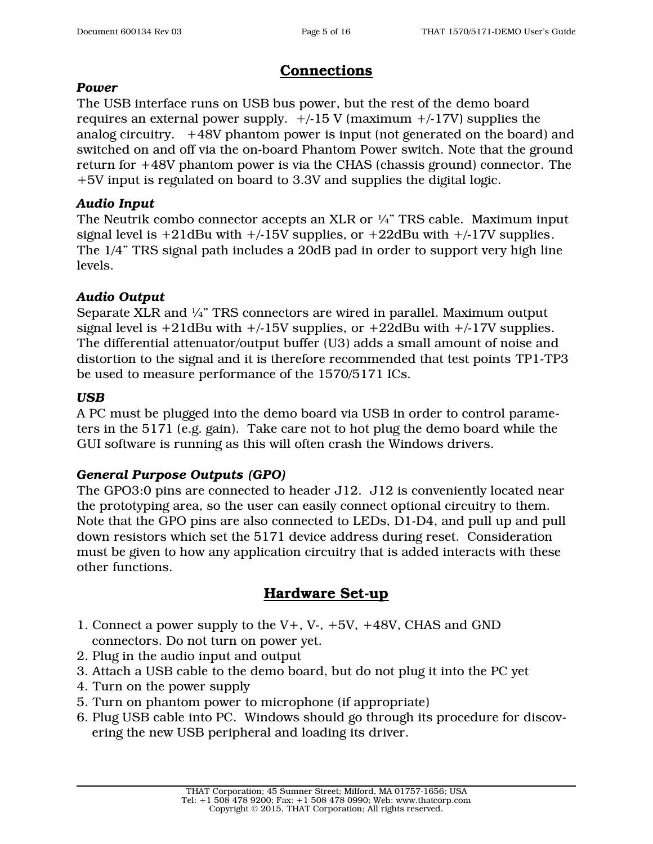## **Connections**

#### *Power*

The USB interface runs on USB bus power, but the rest of the demo board requires an external power supply.  $+/-15$  V (maximum  $+/-17$ V) supplies the analog circuitry. +48V phantom power is input (not generated on the board) and switched on and off via the on-board Phantom Power switch. Note that the ground return for +48V phantom power is via the CHAS (chassis ground) connector. The +5V input is regulated on board to 3.3V and supplies the digital logic.

#### *Audio Input*

The Neutrik combo connector accepts an XLR or  $\frac{1}{4}$ " TRS cable. Maximum input signal level is  $+21$ dBu with  $+/-15V$  supplies, or  $+22$ dBu with  $+/-17V$  supplies. The 1/4" TRS signal path includes a 20dB pad in order to support very high line levels.

#### *Audio Output*

Separate XLR and ¼" TRS connectors are wired in parallel. Maximum output signal level is  $+21$ dBu with  $+/-15V$  supplies, or  $+22$ dBu with  $+/-17V$  supplies. The differential attenuator/output buffer (U3) adds a small amount of noise and distortion to the signal and it is therefore recommended that test points TP1-TP3 be used to measure performance of the 1570/5171 ICs.

#### *USB*

A PC must be plugged into the demo board via USB in order to control parameters in the 5171 (e.g. gain). Take care not to hot plug the demo board while the GUI software is running as this will often crash the Windows drivers.

#### *General Purpose Outputs (GPO)*

The GPO3:0 pins are connected to header J12. J12 is conveniently located near the prototyping area, so the user can easily connect optional circuitry to them. Note that the GPO pins are also connected to LEDs, D1-D4, and pull up and pull down resistors which set the 5171 device address during reset. Consideration must be given to how any application circuitry that is added interacts with these other functions.

## **Hardware Set-up**

- 1. Connect a power supply to the V+, V-, +5V, +48V, CHAS and GND connectors. Do not turn on power yet.
- 2. Plug in the audio input and output
- 3. Attach a USB cable to the demo board, but do not plug it into the PC yet
- 4. Turn on the power supply
- 5. Turn on phantom power to microphone (if appropriate)
- 6. Plug USB cable into PC. Windows should go through its procedure for discovering the new USB peripheral and loading its driver.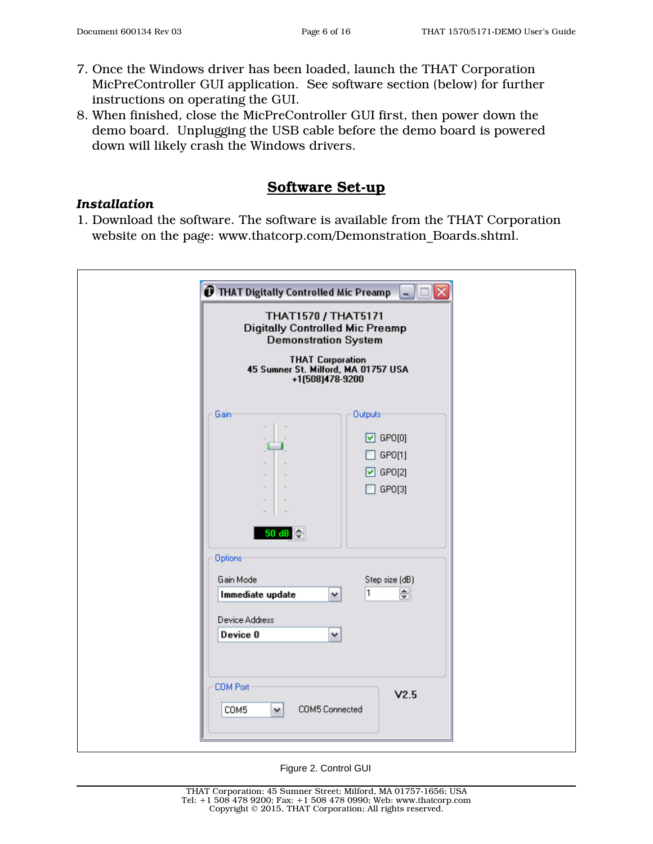- 7. Once the Windows driver has been loaded, launch the THAT Corporation MicPreController GUI application. See software section (below) for further instructions on operating the GUI.
- 8. When finished, close the MicPreController GUI first, then power down the demo board. Unplugging the USB cable before the demo board is powered down will likely crash the Windows drivers.

#### **Software Set-up**

#### *Installation*

1. Download the software. The software is available from the THAT Corporation website on the page: www.thatcorp.com/Demonstration\_Boards.shtml.

| THAT1570 / THAT5171<br><b>Digitally Controlled Mic Preamp</b>                 | <b>Demonstration System</b><br>THAT Corporation<br>45 Sumner St. Milford, MA 01757 USA<br>+1(508)478-9200     |
|-------------------------------------------------------------------------------|---------------------------------------------------------------------------------------------------------------|
| Gain<br>50 dB @<br>Options<br>Gain Mode<br>Immediate update                   | <b>Outputs</b><br>$\boxed{2}$ GPO[0]<br>GPO[1]<br>$\boxdot$ GPO[2]<br>GPO[3]<br>Step size (dB)<br>⊜<br>1<br>v |
| Device Address<br>Device 0<br><b>COM Port</b><br>COM5<br>$\blacktriangledown$ | v<br>V2.5<br>COM5 Connected                                                                                   |

Figure 2. Control GUI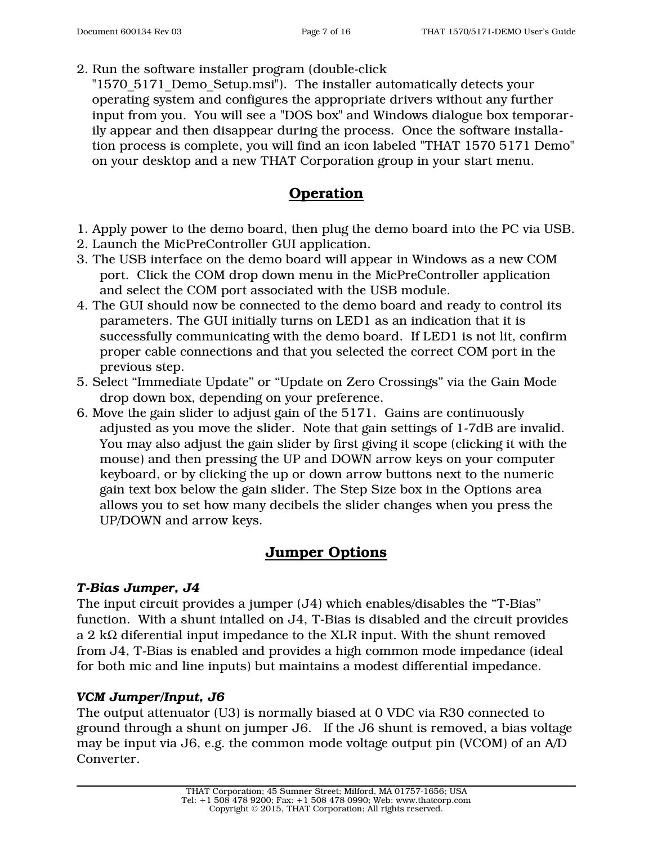2. Run the software installer program (double-click

"1570 5171 Demo Setup.msi"). The installer automatically detects your operating system and configures the appropriate drivers without any further input from you. You will see a "DOS box" and Windows dialogue box temporarily appear and then disappear during the process. Once the software installation process is complete, you will find an icon labeled "THAT 1570 5171 Demo" on your desktop and a new THAT Corporation group in your start menu.

## **Operation**

- 1. Apply power to the demo board, then plug the demo board into the PC via USB.
- 2. Launch the MicPreController GUI application.
- 3. The USB interface on the demo board will appear in Windows as a new COM port. Click the COM drop down menu in the MicPreController application and select the COM port associated with the USB module.
- 4. The GUI should now be connected to the demo board and ready to control its parameters. The GUI initially turns on LED1 as an indication that it is successfully communicating with the demo board. If LED1 is not lit, confirm proper cable connections and that you selected the correct COM port in the previous step.
- 5. Select "Immediate Update" or "Update on Zero Crossings" via the Gain Mode drop down box, depending on your preference.
- 6. Move the gain slider to adjust gain of the 5171. Gains are continuously adjusted as you move the slider. Note that gain settings of 1-7dB are invalid. You may also adjust the gain slider by first giving it scope (clicking it with the mouse) and then pressing the UP and DOWN arrow keys on your computer keyboard, or by clicking the up or down arrow buttons next to the numeric gain text box below the gain slider. The Step Size box in the Options area allows you to set how many decibels the slider changes when you press the UP/DOWN and arrow keys.

## **Jumper Options**

#### *T-Bias Jumper, J4*

The input circuit provides a jumper (J4) which enables/disables the "T-Bias" function. With a shunt intalled on J4, T-Bias is disabled and the circuit provides a 2 k $\Omega$  diferential input impedance to the XLR input. With the shunt removed from J4, T-Bias is enabled and provides a high common mode impedance (ideal for both mic and line inputs) but maintains a modest differential impedance.

#### *VCM Jumper/Input, J6*

The output attenuator (U3) is normally biased at 0 VDC via R30 connected to ground through a shunt on jumper J6. If the J6 shunt is removed, a bias voltage may be input via J6, e.g. the common mode voltage output pin (VCOM) of an A/D Converter.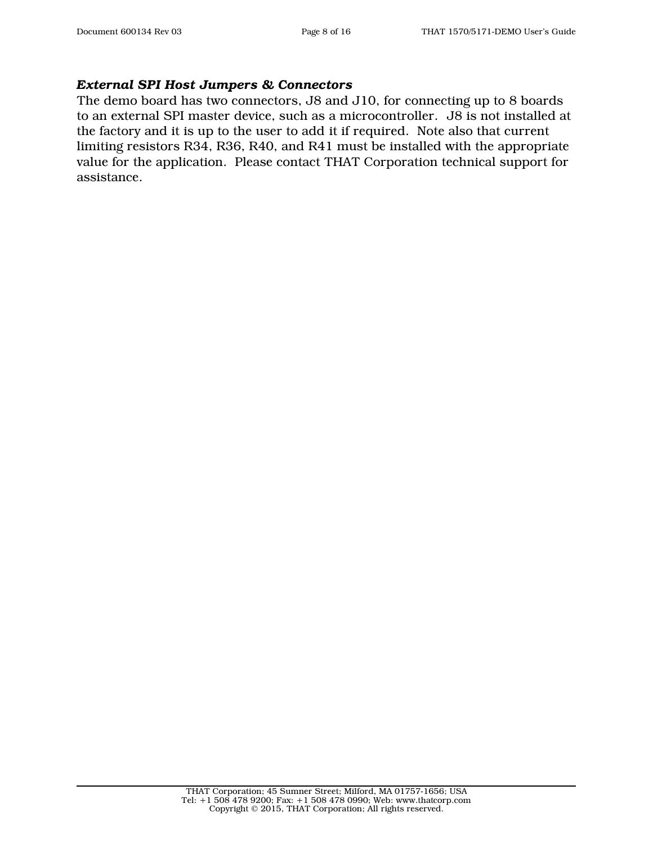#### *External SPI Host Jumpers & Connectors*

The demo board has two connectors, J8 and J10, for connecting up to 8 boards to an external SPI master device, such as a microcontroller. J8 is not installed at the factory and it is up to the user to add it if required. Note also that current limiting resistors R34, R36, R40, and R41 must be installed with the appropriate value for the application. Please contact THAT Corporation technical support for assistance.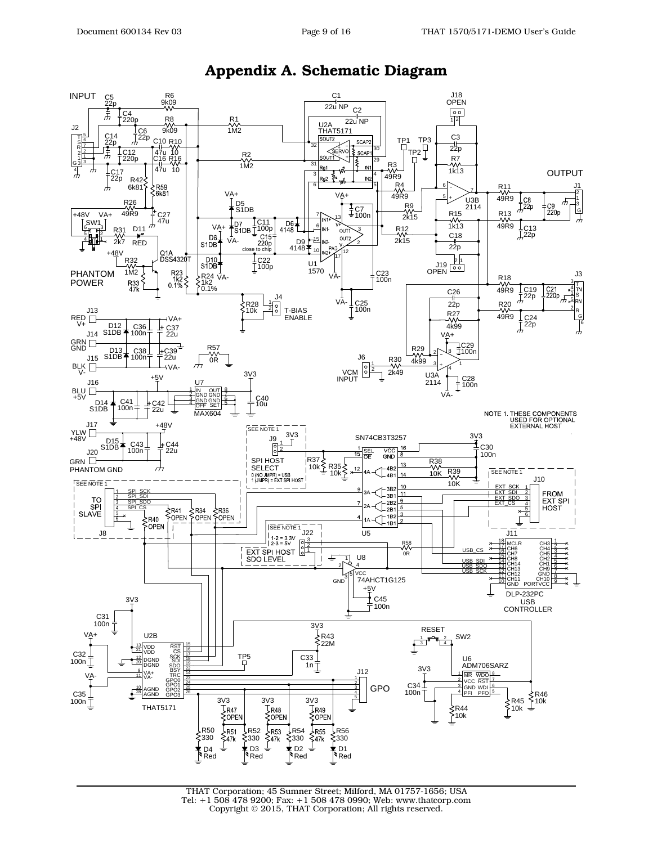



#### **Appendix A. Schematic Diagram**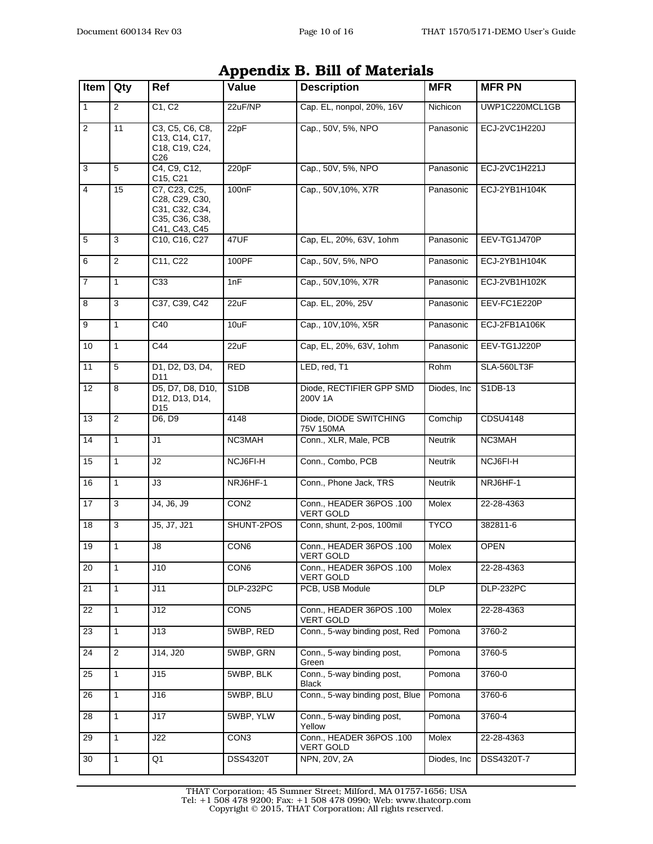| Appellula D. Dill of Materials |                |                                                                                      |                  |                                              |                |                 |  |
|--------------------------------|----------------|--------------------------------------------------------------------------------------|------------------|----------------------------------------------|----------------|-----------------|--|
| Item                           | Qty            | Ref                                                                                  | Value            | <b>Description</b>                           | <b>MFR</b>     | <b>MFR PN</b>   |  |
| $\mathbf{1}$                   | $\overline{2}$ | C1, C2                                                                               | 22uF/NP          | Cap. EL, nonpol, 20%, 16V                    | Nichicon       | UWP1C220MCL1GB  |  |
| $\overline{c}$                 | 11             | C3, C5, C6, C8,<br>C13, C14, C17,<br>C18, C19, C24,<br>C <sub>26</sub>               | 22pF             | Cap., 50V, 5%, NPO                           | Panasonic      | ECJ-2VC1H220J   |  |
| 3                              | 5              | C4, C9, C12,<br>C15, C21                                                             | 220pF            | Cap., 50V, 5%, NPO                           | Panasonic      | ECJ-2VC1H221J   |  |
| $\overline{4}$                 | 15             | C7, C23, C25,<br>C28, C29, C30,<br>C31, C32, C34,<br>C35, C36, C38,<br>C41, C43, C45 | 100nF            | Cap., 50V, 10%, X7R                          | Panasonic      | ECJ-2YB1H104K   |  |
| $\,$ 5 $\,$                    | 3              | C10, C16, C27                                                                        | 47UF             | Cap, EL, 20%, 63V, 1ohm                      | Panasonic      | EEV-TG1J470P    |  |
| 6                              | 2              | C11, C22                                                                             | 100PF            | Cap., 50V, 5%, NPO                           | Panasonic      | ECJ-2YB1H104K   |  |
| $\overline{7}$                 | 1              | C33                                                                                  | 1nF              | Cap., 50V, 10%, X7R                          | Panasonic      | ECJ-2VB1H102K   |  |
| $\overline{8}$                 | 3              | C37, C39, C42                                                                        | 22uF             | Cap. EL, 20%, 25V                            | Panasonic      | EEV-FC1E220P    |  |
| 9                              | 1              | C40                                                                                  | 10uF             | Cap., 10V, 10%, X5R                          | Panasonic      | ECJ-2FB1A106K   |  |
| 10                             | 1              | C44                                                                                  | 22uF             | Cap, EL, 20%, 63V, 1ohm                      | Panasonic      | EEV-TG1J220P    |  |
| $\overline{11}$                | 5              | D1, D2, D3, D4,<br>D11                                                               | <b>RED</b>       | LED, red, T1                                 | Rohm           | SLA-560LT3F     |  |
| 12                             | 8              | D5, D7, D8, D10,<br>D12, D13, D14,<br>D <sub>15</sub>                                | S1DB             | Diode, RECTIFIER GPP SMD<br>200V 1A          | Diodes, Inc.   | S1DB-13         |  |
| 13                             | $\overline{2}$ | D6, D9                                                                               | 4148             | Diode, DIODE SWITCHING<br>75V 150MA          | Comchip        | <b>CDSU4148</b> |  |
| 14                             | $\mathbf{1}$   | J1                                                                                   | NC3MAH           | Conn., XLR, Male, PCB                        | <b>Neutrik</b> | NC3MAH          |  |
| 15                             | $\mathbf{1}$   | J2                                                                                   | NCJ6FI-H         | Conn., Combo, PCB                            | <b>Neutrik</b> | NCJ6FI-H        |  |
| 16                             | 1              | JЗ                                                                                   | NRJ6HF-1         | Conn., Phone Jack, TRS                       | <b>Neutrik</b> | NRJ6HF-1        |  |
| $\overline{17}$                | 3              | J4, J6, J9                                                                           | CON <sub>2</sub> | Conn., HEADER 36POS .100<br><b>VERT GOLD</b> | Molex          | 22-28-4363      |  |
| 18                             | 3              | J5, J7, J21                                                                          | SHUNT-2POS       | Conn, shunt, 2-pos, 100mil                   | <b>TYCO</b>    | 382811-6        |  |
| 19                             | 1              | J8                                                                                   | CON6             | Conn., HEADER 36POS .100<br><b>VERT GOLD</b> | Molex          | <b>OPEN</b>     |  |
| 20                             | $\mathbf{1}$   | J10                                                                                  | CON <sub>6</sub> | Conn., HEADER 36POS .100<br><b>VERT GOLD</b> | Molex          | 22-28-4363      |  |
| 21                             | $\mathbf{1}$   | J11                                                                                  | DLP-232PC        | PCB, USB Module                              | <b>DLP</b>     | DLP-232PC       |  |
| 22                             | $\mathbf{1}$   | J12                                                                                  | CON <sub>5</sub> | Conn., HEADER 36POS .100<br><b>VERT GOLD</b> | Molex          | 22-28-4363      |  |
| 23                             | $\mathbf{1}$   | J13                                                                                  | 5WBP, RED        | Conn., 5-way binding post, Red               | Pomona         | 3760-2          |  |
| 24                             | $\overline{2}$ | J14, J20                                                                             | 5WBP. GRN        | Conn., 5-way binding post,<br>Green          | Pomona         | 3760-5          |  |
| 25                             | $\mathbf{1}$   | J15                                                                                  | 5WBP, BLK        | Conn., 5-way binding post,<br>Black          | Pomona         | 3760-0          |  |
| 26                             | $\mathbf{1}$   | J16                                                                                  | 5WBP, BLU        | Conn., 5-way binding post, Blue              | Pomona         | 3760-6          |  |
| 28                             | $\mathbf{1}$   | J17                                                                                  | 5WBP, YLW        | Conn., 5-way binding post,<br>Yellow         | Pomona         | 3760-4          |  |
| 29                             | 1              | J22                                                                                  | CON <sub>3</sub> | Conn., HEADER 36POS .100<br><b>VERT GOLD</b> | Molex          | 22-28-4363      |  |
| 30                             | $\mathbf{1}$   | Q1                                                                                   | <b>DSS4320T</b>  | NPN, 20V, 2A                                 | Diodes, Inc.   | DSS4320T-7      |  |

#### **Appendix B. Bill of Materials**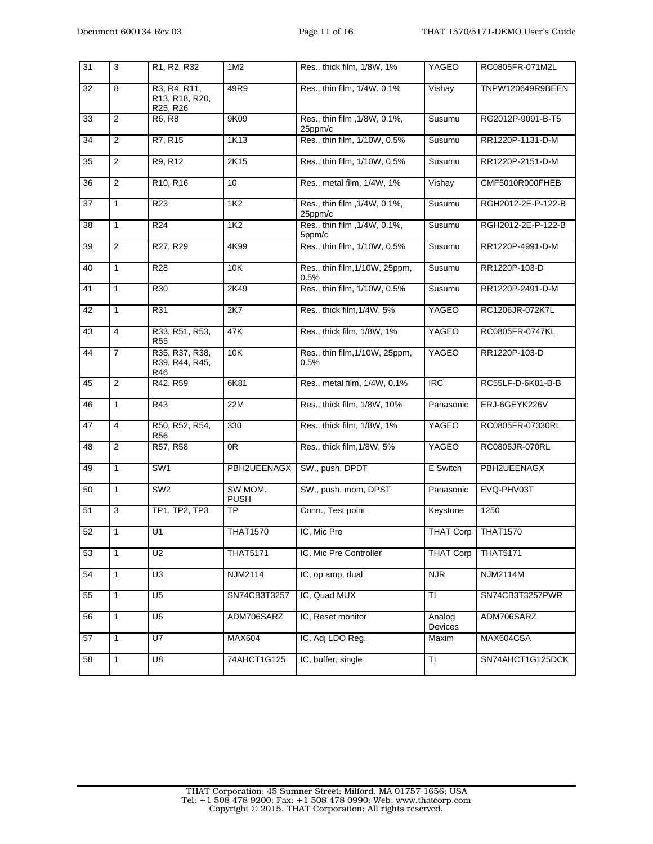| 31 | 3              | R <sub>1</sub> , R <sub>2</sub> , R <sub>32</sub> | 1M2                    | Res., thick film, 1/8W, 1%               | YAGEO                | RC0805FR-071M2L         |
|----|----------------|---------------------------------------------------|------------------------|------------------------------------------|----------------------|-------------------------|
| 32 | 8              | R3, R4, R11,<br>R13, R18, R20,<br>R25, R26        | 49R9                   | Res., thin film, 1/4W, 0.1%              | Vishay               | <b>TNPW120649R9BEEN</b> |
| 33 | $\overline{2}$ | R6, R8                                            | 9K09                   | Res., thin film , 1/8W, 0.1%,<br>25ppm/c | Susumu               | RG2012P-9091-B-T5       |
| 34 | $\overline{2}$ | R7, R15                                           | 1K13                   | Res., thin film, 1/10W, 0.5%             | Susumu               | RR1220P-1131-D-M        |
| 35 | $\overline{2}$ | R9, R12                                           | 2K15                   | Res., thin film, 1/10W, 0.5%             | Susumu               | RR1220P-2151-D-M        |
| 36 | 2              | R <sub>10</sub> , R <sub>16</sub>                 | 10                     | Res., metal film, 1/4W, 1%               | Vishay               | CMF5010R000FHEB         |
| 37 | $\mathbf{1}$   | R <sub>23</sub>                                   | 1K <sub>2</sub>        | Res., thin film , 1/4W, 0.1%,<br>25ppm/c | Susumu               | RGH2012-2E-P-122-B      |
| 38 | 1              | R <sub>24</sub>                                   | 1K <sub>2</sub>        | Res., thin film , 1/4W, 0.1%,<br>5ppm/c  | Susumu               | RGH2012-2E-P-122-B      |
| 39 | $\overline{2}$ | R27, R29                                          | 4K99                   | Res., thin film, 1/10W, 0.5%             | Susumu               | RR1220P-4991-D-M        |
| 40 | $\mathbf{1}$   | R <sub>28</sub>                                   | 10K                    | Res., thin film, 1/10W, 25ppm,<br>0.5%   | Susumu               | RR1220P-103-D           |
| 41 | $\mathbf{1}$   | R <sub>30</sub>                                   | 2K49                   | Res., thin film, 1/10W, 0.5%             | Susumu               | RR1220P-2491-D-M        |
| 42 | $\mathbf{1}$   | R31                                               | 2K7                    | Res., thick film, 1/4W, 5%               | YAGEO                | RC1206JR-072K7L         |
| 43 | 4              | R33, R51, R53,<br><b>R55</b>                      | 47K                    | Res., thick film, 1/8W, 1%               | YAGEO                | RC0805FR-0747KL         |
| 44 | $\overline{7}$ | R35, R37, R38,<br>R39, R44, R45,<br>R46           | 10K                    | Res., thin film, 1/10W, 25ppm,<br>0.5%   | <b>YAGEO</b>         | RR1220P-103-D           |
| 45 | $\overline{2}$ | R42, R59                                          | 6K81                   | Res., metal film, 1/4W, 0.1%             | $\overline{RC}$      | RC55LF-D-6K81-B-B       |
| 46 | 1              | R43                                               | 22M                    | Res., thick film, 1/8W, 10%              | Panasonic            | ERJ-6GEYK226V           |
| 47 | $\overline{4}$ | R50, R52, R54,<br><b>R56</b>                      | 330                    | Res., thick film, 1/8W, 1%               | YAGEO                | RC0805FR-07330RL        |
| 48 | $\overline{2}$ | R57, R58                                          | 0 <sub>R</sub>         | Res., thick film, 1/8W, 5%               | YAGEO                | RC0805JR-070RL          |
| 49 | 1              | SW <sub>1</sub>                                   | PBH2UEENAGX            | SW., push, DPDT                          | E Switch             | PBH2UEENAGX             |
| 50 | $\mathbf{1}$   | SW <sub>2</sub>                                   | SW MOM.<br><b>PUSH</b> | SW., push, mom, DPST                     | Panasonic            | EVQ-PHV03T              |
| 51 | 3              | TP1, TP2, TP3                                     | <b>TP</b>              | Conn., Test point                        | Keystone             | 1250                    |
| 52 | $\mathbf{1}$   | U1                                                | <b>THAT1570</b>        | IC, Mic Pre                              | THAT Corp   THAT1570 |                         |
| 53 | $\mathbf{1}$   | U <sub>2</sub>                                    | <b>THAT5171</b>        | IC, Mic Pre Controller                   | <b>THAT Corp</b>     | <b>THAT5171</b>         |
| 54 | $\mathbf{1}$   | U <sub>3</sub>                                    | NJM2114                | IC, op amp, dual                         | <b>NJR</b>           | <b>NJM2114M</b>         |
| 55 | $\mathbf{1}$   | U <sub>5</sub>                                    | SN74CB3T3257           | IC, Quad MUX                             | <b>TI</b>            | SN74CB3T3257PWR         |
| 56 | $\mathbf{1}$   | U6                                                | ADM706SARZ             | IC, Reset monitor                        | Analog<br>Devices    | ADM706SARZ              |
| 57 | $\overline{1}$ | $\overline{U7}$                                   | <b>MAX604</b>          | IC, Adj LDO Reg.                         | Maxim                | MAX604CSA               |
| 58 | $\mathbf{1}$   | U8                                                | 74AHCT1G125            | IC, buffer, single                       | TI                   | SN74AHCT1G125DCK        |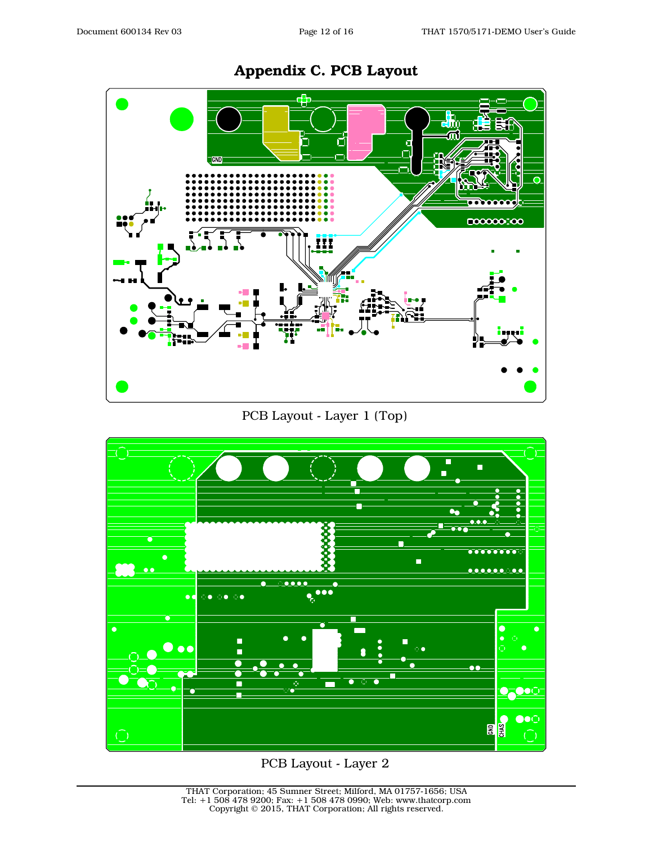

## **Appendix C. PCB Layout**

PCB Layout - Layer 1 (Top)



PCB Layout - Layer 2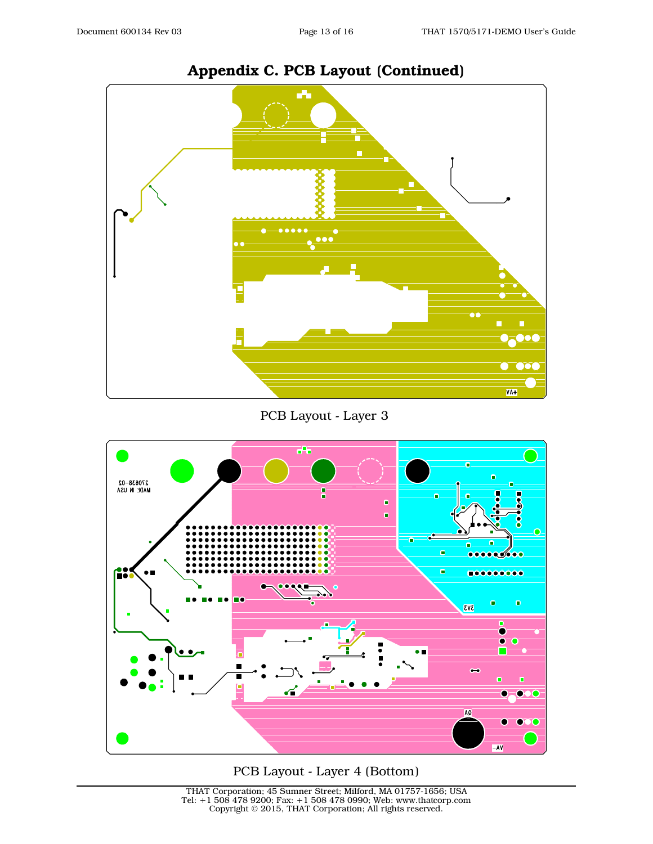

## **Appendix C. PCB Layout (Continued)**

PCB Layout - Layer 3



#### PCB Layout - Layer 4 (Bottom)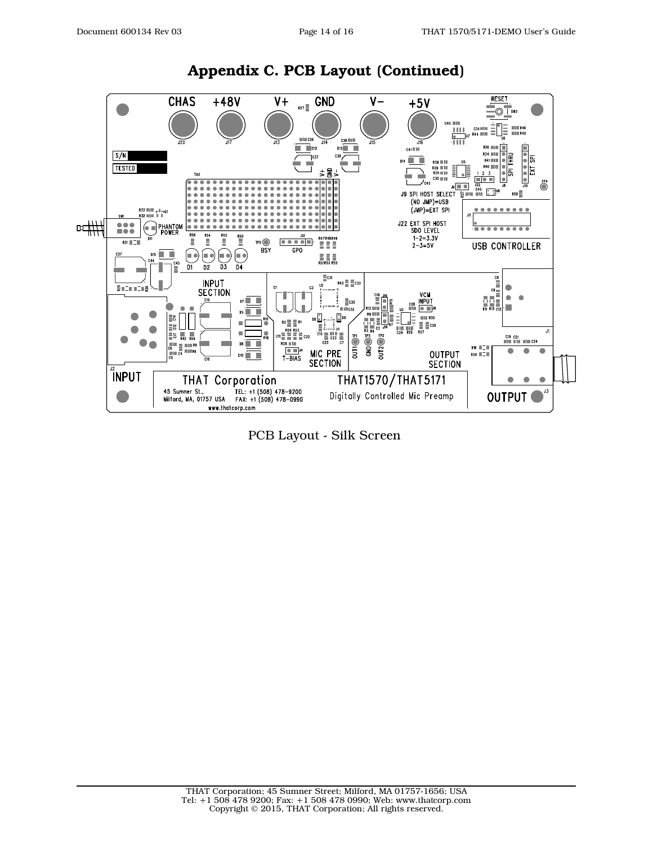

#### **Appendix C. PCB Layout (Continued)**

PCB Layout - Silk Screen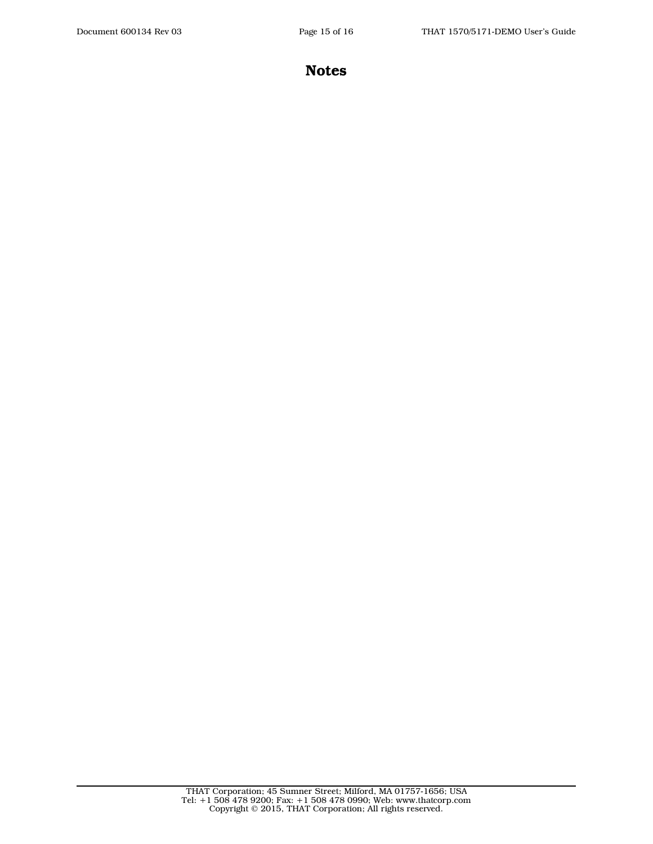**Notes**